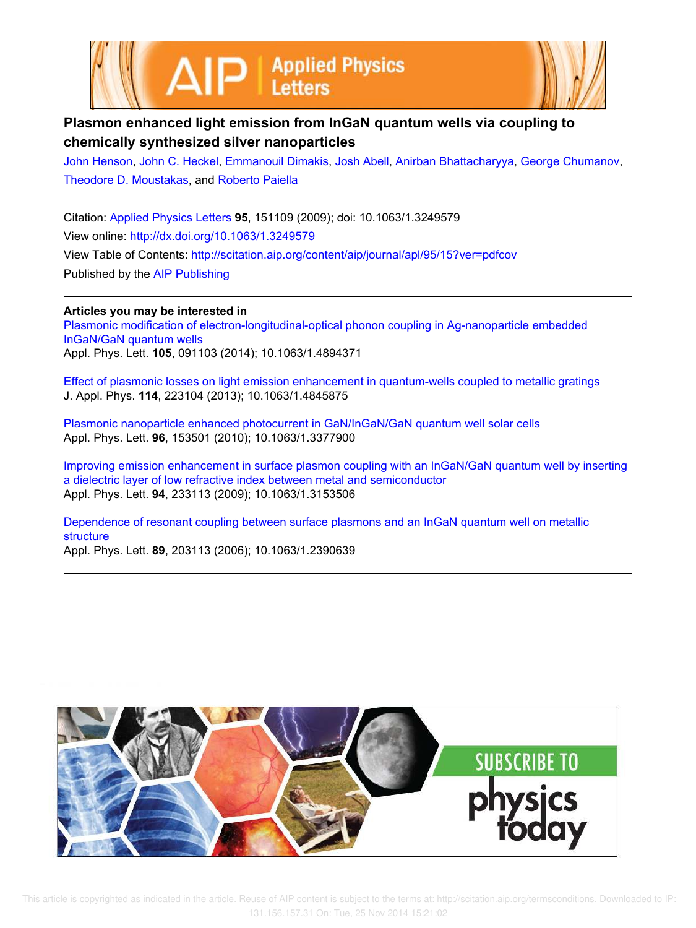



## **Plasmon enhanced light emission from InGaN quantum wells via coupling to chemically synthesized silver nanoparticles**

John Henson, John C. Heckel, Emmanouil Dimakis, Josh Abell, Anirban Bhattacharyya, George Chumanov, Theodore D. Moustakas, and Roberto Paiella

Citation: Applied Physics Letters **95**, 151109 (2009); doi: 10.1063/1.3249579 View online: http://dx.doi.org/10.1063/1.3249579 View Table of Contents: http://scitation.aip.org/content/aip/journal/apl/95/15?ver=pdfcov Published by the AIP Publishing

**Articles you may be interested in** Plasmonic modification of electron-longitudinal-optical phonon coupling in Ag-nanoparticle embedded InGaN/GaN quantum wells Appl. Phys. Lett. **105**, 091103 (2014); 10.1063/1.4894371

Effect of plasmonic losses on light emission enhancement in quantum-wells coupled to metallic gratings J. Appl. Phys. **114**, 223104 (2013); 10.1063/1.4845875

Plasmonic nanoparticle enhanced photocurrent in GaN/InGaN/GaN quantum well solar cells Appl. Phys. Lett. **96**, 153501 (2010); 10.1063/1.3377900

Improving emission enhancement in surface plasmon coupling with an InGaN/GaN quantum well by inserting a dielectric layer of low refractive index between metal and semiconductor Appl. Phys. Lett. **94**, 233113 (2009); 10.1063/1.3153506

Dependence of resonant coupling between surface plasmons and an InGaN quantum well on metallic structure

Appl. Phys. Lett. **89**, 203113 (2006); 10.1063/1.2390639



 This article is copyrighted as indicated in the article. Reuse of AIP content is subject to the terms at: http://scitation.aip.org/termsconditions. Downloaded to IP: 131.156.157.31 On: Tue, 25 Nov 2014 15:21:02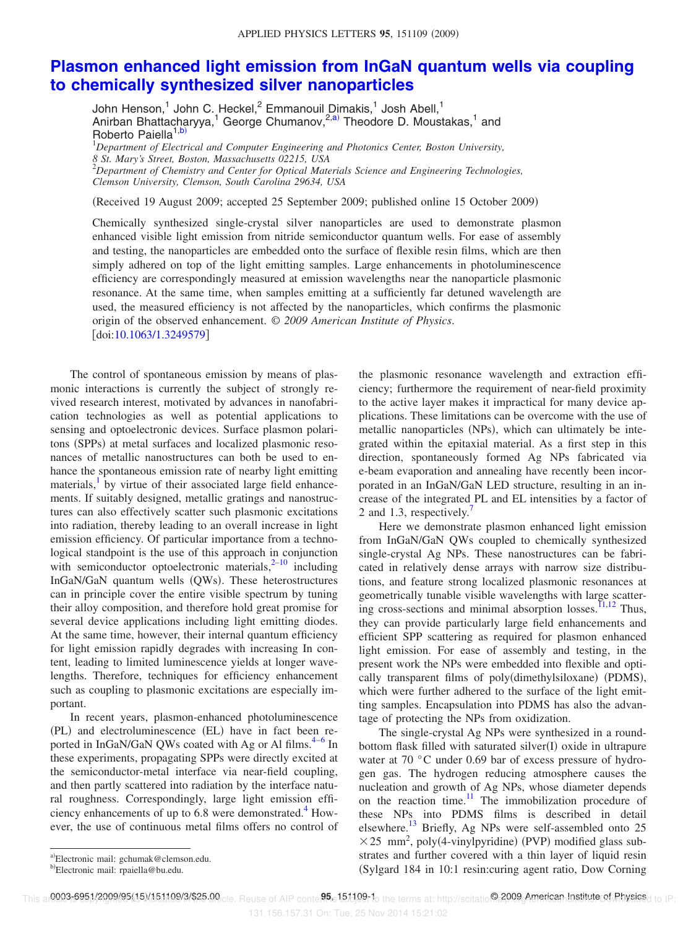## **Plasmon enhanced light emission from InGaN quantum wells via coupling to chemically synthesized silver nanoparticles**

John Henson,<sup>1</sup> John C. Heckel,<sup>2</sup> Emmanouil Dimakis,<sup>1</sup> Josh Abell,<sup>1</sup> Anirban Bhattacharyya,<sup>1</sup> George Chumanov,<sup>2,a)</sup> Theodore D. Moustakas,<sup>1</sup> and Roberto Paiella<sup>1,b)</sup>

<sup>1</sup>*Department of Electrical and Computer Engineering and Photonics Center, Boston University, 8 St. Mary's Street, Boston, Massachusetts 02215, USA* <sup>2</sup>*Department of Chemistry and Center for Optical Materials Science and Engineering Technologies, Clemson University, Clemson, South Carolina 29634, USA*

Received 19 August 2009; accepted 25 September 2009; published online 15 October 2009-

Chemically synthesized single-crystal silver nanoparticles are used to demonstrate plasmon enhanced visible light emission from nitride semiconductor quantum wells. For ease of assembly and testing, the nanoparticles are embedded onto the surface of flexible resin films, which are then simply adhered on top of the light emitting samples. Large enhancements in photoluminescence efficiency are correspondingly measured at emission wavelengths near the nanoparticle plasmonic resonance. At the same time, when samples emitting at a sufficiently far detuned wavelength are used, the measured efficiency is not affected by the nanoparticles, which confirms the plasmonic origin of the observed enhancement. © *2009 American Institute of Physics*. [doi:10.1063/1.3249579]

The control of spontaneous emission by means of plasmonic interactions is currently the subject of strongly revived research interest, motivated by advances in nanofabrication technologies as well as potential applications to sensing and optoelectronic devices. Surface plasmon polaritons (SPPs) at metal surfaces and localized plasmonic resonances of metallic nanostructures can both be used to enhance the spontaneous emission rate of nearby light emitting materials,<sup>1</sup> by virtue of their associated large field enhancements. If suitably designed, metallic gratings and nanostructures can also effectively scatter such plasmonic excitations into radiation, thereby leading to an overall increase in light emission efficiency. Of particular importance from a technological standpoint is the use of this approach in conjunction with semiconductor optoelectronic materials, $2^{-10}$  including InGaN/GaN quantum wells (QWs). These heterostructures can in principle cover the entire visible spectrum by tuning their alloy composition, and therefore hold great promise for several device applications including light emitting diodes. At the same time, however, their internal quantum efficiency for light emission rapidly degrades with increasing In content, leading to limited luminescence yields at longer wavelengths. Therefore, techniques for efficiency enhancement such as coupling to plasmonic excitations are especially important.

In recent years, plasmon-enhanced photoluminescence (PL) and electroluminescence (EL) have in fact been reported in InGaN/GaN QWs coated with Ag or Al films.<sup>4-6</sup> In these experiments, propagating SPPs were directly excited at the semiconductor-metal interface via near-field coupling, and then partly scattered into radiation by the interface natural roughness. Correspondingly, large light emission efficiency enhancements of up to 6.8 were demonstrated.<sup>4</sup> However, the use of continuous metal films offers no control of

the plasmonic resonance wavelength and extraction efficiency; furthermore the requirement of near-field proximity to the active layer makes it impractical for many device applications. These limitations can be overcome with the use of metallic nanoparticles (NPs), which can ultimately be integrated within the epitaxial material. As a first step in this direction, spontaneously formed Ag NPs fabricated via e-beam evaporation and annealing have recently been incorporated in an InGaN/GaN LED structure, resulting in an increase of the integrated PL and EL intensities by a factor of 2 and 1.3, respectively.

Here we demonstrate plasmon enhanced light emission from InGaN/GaN QWs coupled to chemically synthesized single-crystal Ag NPs. These nanostructures can be fabricated in relatively dense arrays with narrow size distributions, and feature strong localized plasmonic resonances at geometrically tunable visible wavelengths with large scattering cross-sections and minimal absorption losses.<sup>11,12</sup> Thus, they can provide particularly large field enhancements and efficient SPP scattering as required for plasmon enhanced light emission. For ease of assembly and testing, in the present work the NPs were embedded into flexible and optically transparent films of poly(dimethylsiloxane) (PDMS), which were further adhered to the surface of the light emitting samples. Encapsulation into PDMS has also the advantage of protecting the NPs from oxidization.

The single-crystal Ag NPs were synthesized in a roundbottom flask filled with saturated silver(I) oxide in ultrapure water at 70 °C under 0.69 bar of excess pressure of hydrogen gas. The hydrogen reducing atmosphere causes the nucleation and growth of Ag NPs, whose diameter depends on the reaction time.<sup>11</sup> The immobilization procedure of these NPs into PDMS films is described in detail elsewhere.<sup>13</sup> Briefly, Ag NPs were self-assembled onto 25  $\times$  25 mm<sup>2</sup>, poly(4-vinylpyridine) (PVP) modified glass substrates and further covered with a thin layer of liquid resin Sylgard 184 in 10:1 resin:curing agent ratio, Dow Corning

131.156.157.31 On: Tue, 25 Nov 2014 15:21:02

a)Electronic mail: gchumak@clemson.edu.

<sup>&</sup>lt;sup>b)</sup>Electronic mail: rpaiella@bu.edu.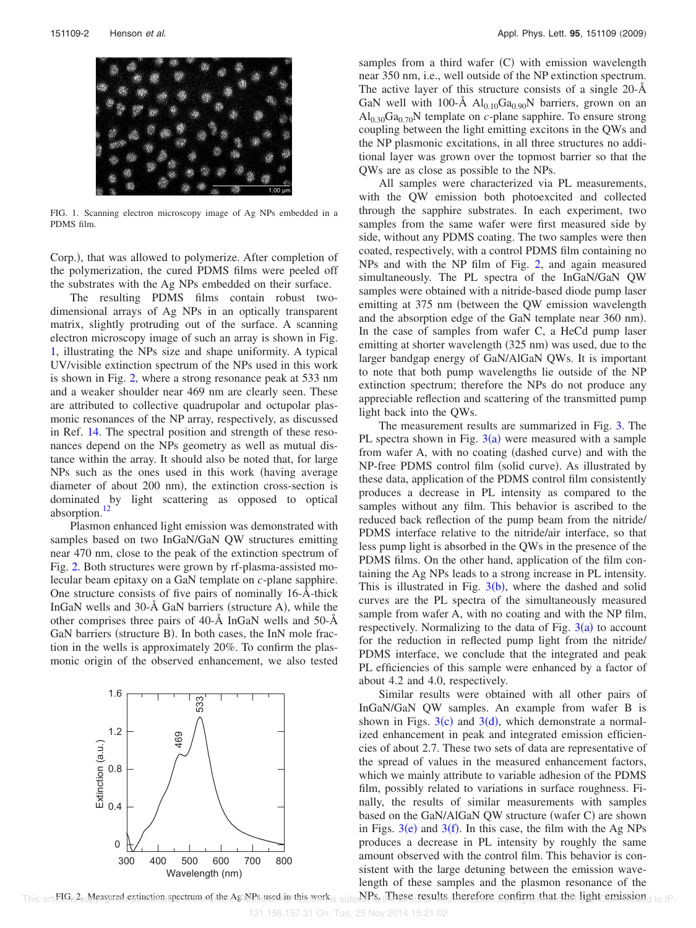

FIG. 1. Scanning electron microscopy image of Ag NPs embedded in a PDMS film.

Corp.), that was allowed to polymerize. After completion of the polymerization, the cured PDMS films were peeled off the substrates with the Ag NPs embedded on their surface.

The resulting PDMS films contain robust twodimensional arrays of Ag NPs in an optically transparent matrix, slightly protruding out of the surface. A scanning electron microscopy image of such an array is shown in Fig. 1, illustrating the NPs size and shape uniformity. A typical UV/visible extinction spectrum of the NPs used in this work is shown in Fig. 2, where a strong resonance peak at 533 nm and a weaker shoulder near 469 nm are clearly seen. These are attributed to collective quadrupolar and octupolar plasmonic resonances of the NP array, respectively, as discussed in Ref. 14. The spectral position and strength of these resonances depend on the NPs geometry as well as mutual distance within the array. It should also be noted that, for large NPs such as the ones used in this work (having average diameter of about 200 nm), the extinction cross-section is dominated by light scattering as opposed to optical absorption.<sup>12</sup>

Plasmon enhanced light emission was demonstrated with samples based on two InGaN/GaN QW structures emitting near 470 nm, close to the peak of the extinction spectrum of Fig. 2. Both structures were grown by rf-plasma-assisted molecular beam epitaxy on a GaN template on *c*-plane sapphire. One structure consists of five pairs of nominally 16-Å-thick InGaN wells and  $30-\text{\AA}$  GaN barriers (structure A), while the other comprises three pairs of 40-Å InGaN wells and 50-Å GaN barriers (structure B). In both cases, the InN mole fraction in the wells is approximately 20%. To confirm the plasmonic origin of the observed enhancement, we also tested



samples from a third wafer (C) with emission wavelength near 350 nm, i.e., well outside of the NP extinction spectrum. The active layer of this structure consists of a single 20-Å GaN well with 100-Å  $Al<sub>0.10</sub>Ga<sub>0.90</sub>N$  barriers, grown on an  $\text{Al}_{0.30}\text{Ga}_{0.70}\text{N}$  template on *c*-plane sapphire. To ensure strong coupling between the light emitting excitons in the QWs and the NP plasmonic excitations, in all three structures no additional layer was grown over the topmost barrier so that the QWs are as close as possible to the NPs.

All samples were characterized via PL measurements, with the QW emission both photoexcited and collected through the sapphire substrates. In each experiment, two samples from the same wafer were first measured side by side, without any PDMS coating. The two samples were then coated, respectively, with a control PDMS film containing no NPs and with the NP film of Fig. 2, and again measured simultaneously. The PL spectra of the InGaN/GaN QW samples were obtained with a nitride-based diode pump laser emitting at 375 nm (between the QW emission wavelength and the absorption edge of the GaN template near 360 nm). In the case of samples from wafer C, a HeCd pump laser emitting at shorter wavelength (325 nm) was used, due to the larger bandgap energy of GaN/AlGaN QWs. It is important to note that both pump wavelengths lie outside of the NP extinction spectrum; therefore the NPs do not produce any appreciable reflection and scattering of the transmitted pump light back into the QWs.

The measurement results are summarized in Fig. 3. The PL spectra shown in Fig.  $3(a)$  were measured with a sample from wafer A, with no coating (dashed curve) and with the NP-free PDMS control film (solid curve). As illustrated by these data, application of the PDMS control film consistently produces a decrease in PL intensity as compared to the samples without any film. This behavior is ascribed to the reduced back reflection of the pump beam from the nitride/ PDMS interface relative to the nitride/air interface, so that less pump light is absorbed in the QWs in the presence of the PDMS films. On the other hand, application of the film containing the Ag NPs leads to a strong increase in PL intensity. This is illustrated in Fig.  $3(b)$ , where the dashed and solid curves are the PL spectra of the simultaneously measured sample from wafer A, with no coating and with the NP film, respectively. Normalizing to the data of Fig.  $3(a)$  to account for the reduction in reflected pump light from the nitride/ PDMS interface, we conclude that the integrated and peak PL efficiencies of this sample were enhanced by a factor of about 4.2 and 4.0, respectively.

Similar results were obtained with all other pairs of InGaN/GaN QW samples. An example from wafer B is shown in Figs.  $3(c)$  and  $3(d)$ , which demonstrate a normalized enhancement in peak and integrated emission efficiencies of about 2.7. These two sets of data are representative of the spread of values in the measured enhancement factors, which we mainly attribute to variable adhesion of the PDMS film, possibly related to variations in surface roughness. Finally, the results of similar measurements with samples based on the GaN/AlGaN QW structure (wafer C) are shown in Figs.  $3(e)$  and  $3(f)$ . In this case, the film with the Ag NPs produces a decrease in PL intensity by roughly the same amount observed with the control film. This behavior is consistent with the large detuning between the emission wavelength of these samples and the plasmon resonance of the